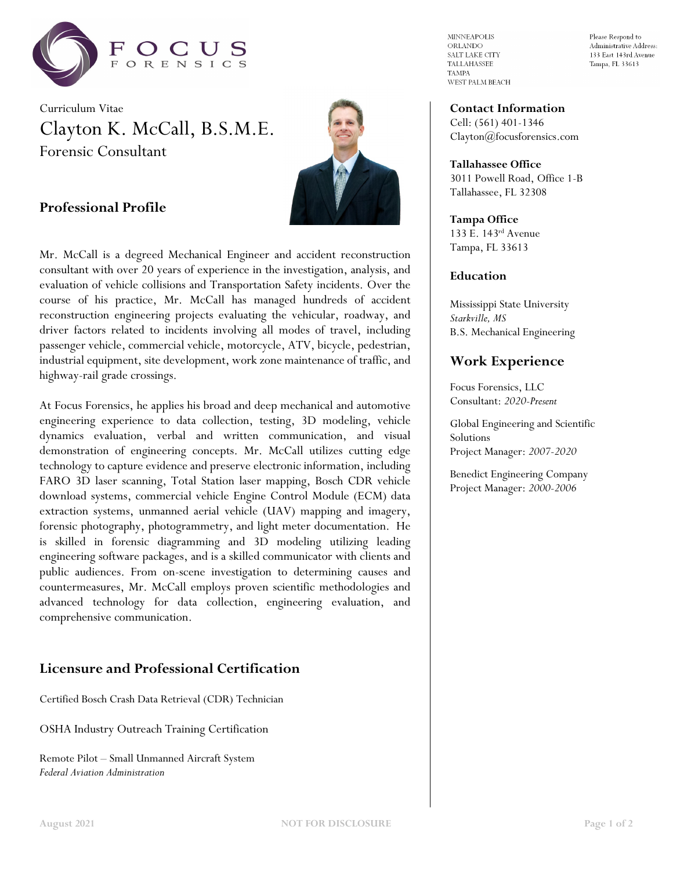

Curriculum Vitae Clayton K. McCall, B.S.M.E. Forensic Consultant



# **Professional Profile**

Mr. McCall is a degreed Mechanical Engineer and accident reconstruction consultant with over 20 years of experience in the investigation, analysis, and evaluation of vehicle collisions and Transportation Safety incidents. Over the course of his practice, Mr. McCall has managed hundreds of accident reconstruction engineering projects evaluating the vehicular, roadway, and driver factors related to incidents involving all modes of travel, including passenger vehicle, commercial vehicle, motorcycle, ATV, bicycle, pedestrian, industrial equipment, site development, work zone maintenance of traffic, and highway-rail grade crossings.

At Focus Forensics, he applies his broad and deep mechanical and automotive engineering experience to data collection, testing, 3D modeling, vehicle dynamics evaluation, verbal and written communication, and visual demonstration of engineering concepts. Mr. McCall utilizes cutting edge technology to capture evidence and preserve electronic information, including FARO 3D laser scanning, Total Station laser mapping, Bosch CDR vehicle download systems, commercial vehicle Engine Control Module (ECM) data extraction systems, unmanned aerial vehicle (UAV) mapping and imagery, forensic photography, photogrammetry, and light meter documentation. He is skilled in forensic diagramming and 3D modeling utilizing leading engineering software packages, and is a skilled communicator with clients and public audiences. From on-scene investigation to determining causes and countermeasures, Mr. McCall employs proven scientific methodologies and advanced technology for data collection, engineering evaluation, and comprehensive communication.

# **Licensure and Professional Certification**

Certified Bosch Crash Data Retrieval (CDR) Technician

OSHA Industry Outreach Training Certification

Remote Pilot – Small Unmanned Aircraft System *Federal Aviation Administration*

**MINNEAPOLIS** ORLANDO SALT LAKE CITY TALLAHASSEE **TAMPA** WEST PALM BEACH Please Respond to Administrative Address: 133 East 143rd Avenue Tampa, FL 33613

**Contact Information** Cell: (561) 401-1346

Clayton@focusforensics.com

**Tallahassee Office** 3011 Powell Road, Office 1-B Tallahassee, FL 32308

**Tampa Office** 133 E. 143rd Avenue Tampa, FL 33613

#### **Education**

Mississippi State University *Starkville, MS* B.S. Mechanical Engineering

# **Work Experience**

Focus Forensics, LLC Consultant: *2020-Present*

Global Engineering and Scientific Solutions Project Manager: *2007-2020*

Benedict Engineering Company Project Manager: *2000-2006*